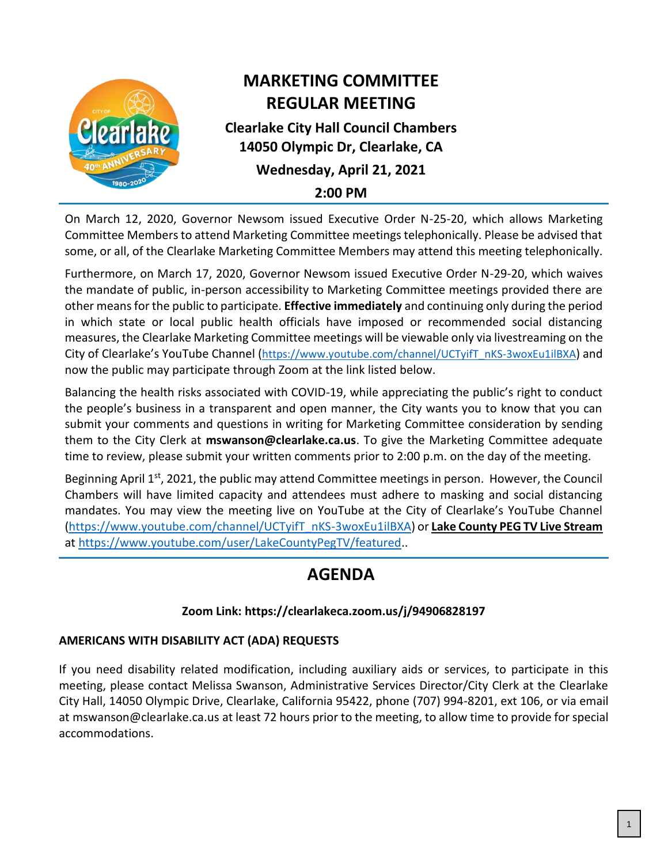

# **MARKETING COMMITTEE REGULAR MEETING**

## **Clearlake City Hall Council Chambers 14050 Olympic Dr, Clearlake, CA Wednesday, April 21, 2021**

**2:00 PM**

On March 12, 2020, Governor Newsom issued Executive Order N-25-20, which allows Marketing Committee Members to attend Marketing Committee meetings telephonically. Please be advised that some, or all, of the Clearlake Marketing Committee Members may attend this meeting telephonically.

Furthermore, on March 17, 2020, Governor Newsom issued Executive Order N-29-20, which waives the mandate of public, in-person accessibility to Marketing Committee meetings provided there are other means for the public to participate. **Effective immediately** and continuing only during the period in which state or local public health officials have imposed or recommended social distancing measures, the Clearlake Marketing Committee meetings will be viewable only via livestreaming on the City of Clearlake's YouTube Channel ([https://www.youtube.com/channel/UCTyifT\\_nKS-3woxEu1ilBXA](https://www.youtube.com/channel/UCTyifT_nKS-3woxEu1ilBXA)) and now the public may participate through Zoom at the link listed below.

Balancing the health risks associated with COVID-19, while appreciating the public's right to conduct the people's business in a transparent and open manner, the City wants you to know that you can submit your comments and questions in writing for Marketing Committee consideration by sending them to the City Clerk at **mswanson@clearlake.ca.us**. To give the Marketing Committee adequate time to review, please submit your written comments prior to 2:00 p.m. on the day of the meeting.

Beginning April 1<sup>st</sup>, 2021, the public may attend Committee meetings in person. However, the Council Chambers will have limited capacity and attendees must adhere to masking and social distancing mandates. You may view the meeting live on YouTube at the City of Clearlake's YouTube Channel [\(https://www.youtube.com/channel/UCTyifT\\_nKS-3woxEu1ilBXA\)](https://www.youtube.com/channel/UCTyifT_nKS-3woxEu1ilBXA) or **Lake County PEG TV Live Stream** at [https://www.youtube.com/user/LakeCountyPegTV/featured.](https://www.youtube.com/user/LakeCountyPegTV/featured).

# **AGENDA**

## **Zoom Link: https://clearlakeca.zoom.us/j/94906828197**

## **AMERICANS WITH DISABILITY ACT (ADA) REQUESTS**

If you need disability related modification, including auxiliary aids or services, to participate in this meeting, please contact Melissa Swanson, Administrative Services Director/City Clerk at the Clearlake City Hall, 14050 Olympic Drive, Clearlake, California 95422, phone (707) 994-8201, ext 106, or via email at mswanson@clearlake.ca.us at least 72 hours prior to the meeting, to allow time to provide for special accommodations.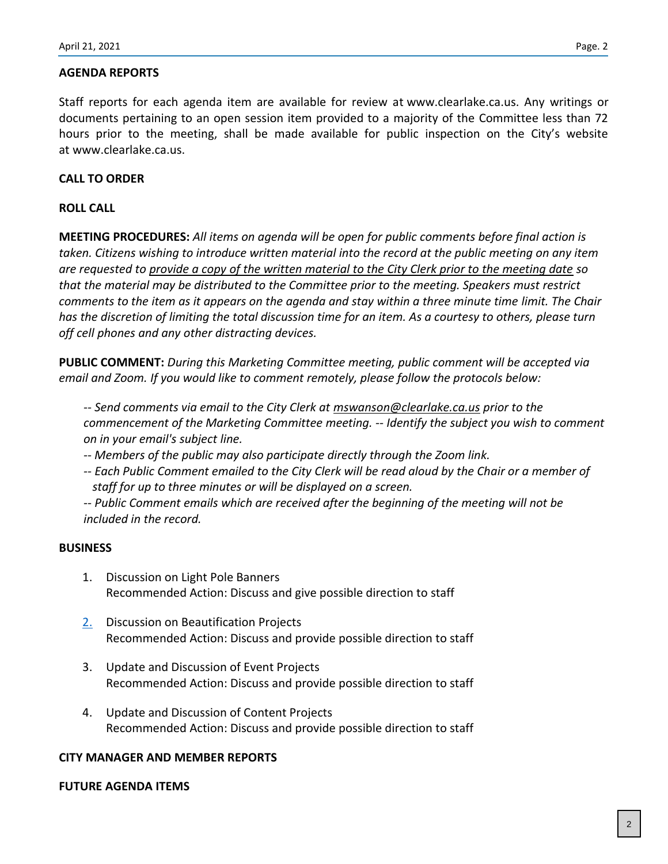Staff reports for each agenda item are available for review at www.clearlake.ca.us. Any writings or documents pertaining to an open session item provided to a majority of the Committee less than 72 hours prior to the meeting, shall be made available for public inspection on the City's website at www.clearlake.ca.us.

### **CALL TO ORDER**

#### **ROLL CALL**

**MEETING PROCEDURES:** *All items on agenda will be open for public comments before final action is taken. Citizens wishing to introduce written material into the record at the public meeting on any item are requested to provide a copy of the written material to the City Clerk prior to the meeting date so that the material may be distributed to the Committee prior to the meeting. Speakers must restrict comments to the item as it appears on the agenda and stay within a three minute time limit. The Chair has the discretion of limiting the total discussion time for an item. As a courtesy to others, please turn off cell phones and any other distracting devices.*

**PUBLIC COMMENT:** *During this Marketing Committee meeting, public comment will be accepted via email and Zoom. If you would like to comment remotely, please follow the protocols below:*

*-- Send comments via email to the City Clerk at mswanson@clearlake.ca.us prior to the commencement of the Marketing Committee meeting. -- Identify the subject you wish to comment on in your email's subject line.*

- *-- Members of the public may also participate directly through the Zoom link.*
- *-- Each Public Comment emailed to the City Clerk will be read aloud by the Chair or a member of staff for up to three minutes or will be displayed on a screen.*

*-- Public Comment emails which are received after the beginning of the meeting will not be included in the record.*

#### **BUSINESS**

- 1. Discussion on Light Pole Banners Recommended Action: Discuss and give possible direction to staff
- [2.](#page-3-0) Discussion on Beautification Projects Recommended Action: Discuss and provide possible direction to staff
- 3. Update and Discussion of Event Projects Recommended Action: Discuss and provide possible direction to staff
- 4. Update and Discussion of Content Projects Recommended Action: Discuss and provide possible direction to staff

#### **CITY MANAGER AND MEMBER REPORTS**

#### **FUTURE AGENDA ITEMS**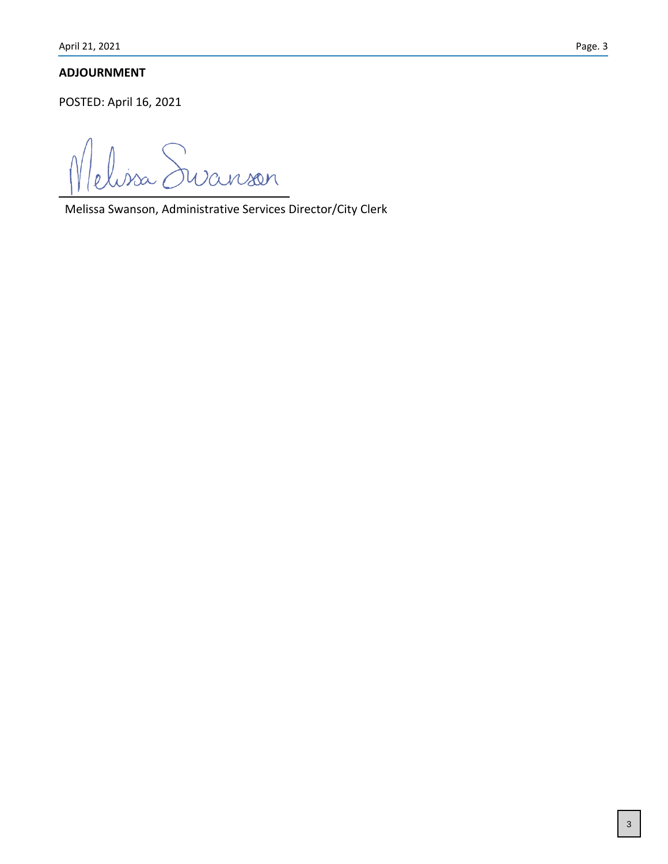### **ADJOURNMENT**

POSTED: April 16, 2021

elissa Suranson

Melissa Swanson, Administrative Services Director/City Clerk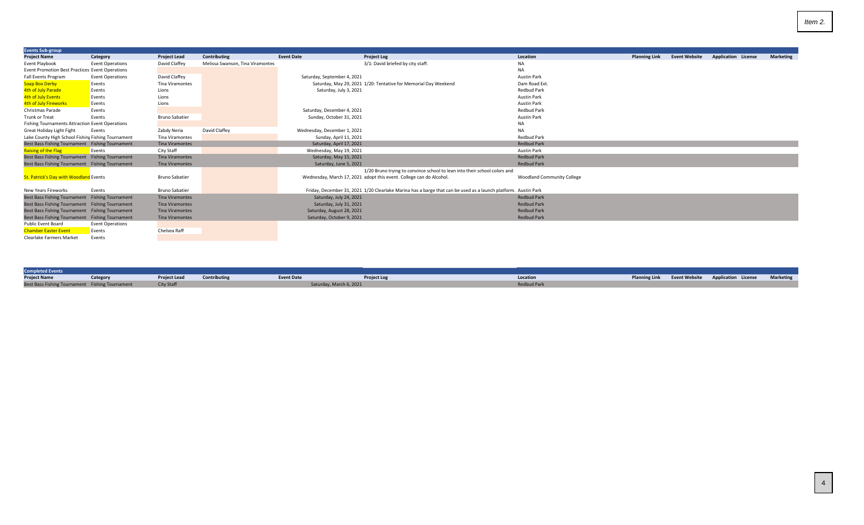<span id="page-3-0"></span>

| <b>Events Sub-group</b>                                |                         |                        |                                  |                             |                                                                                                                |                                   |                      |                      |                            |                  |
|--------------------------------------------------------|-------------------------|------------------------|----------------------------------|-----------------------------|----------------------------------------------------------------------------------------------------------------|-----------------------------------|----------------------|----------------------|----------------------------|------------------|
| <b>Project Name</b>                                    | Category                | <b>Project Lead</b>    | Contributing                     | <b>Event Date</b>           | <b>Project Log</b>                                                                                             | Location                          | <b>Planning Link</b> | <b>Event Website</b> | <b>Application License</b> | <b>Marketing</b> |
| Event Playbook                                         | <b>Event Operations</b> | David Claffey          | Melissa Swanson, Tina Viramontes |                             | 3/1: David briefed by city staff.                                                                              | NA                                |                      |                      |                            |                  |
| Event Promotion Best Practices Event Operations        |                         |                        |                                  |                             |                                                                                                                | <b>NA</b>                         |                      |                      |                            |                  |
| Fall Events Program                                    | <b>Event Operations</b> | David Claffey          |                                  | Saturday, September 4, 2021 |                                                                                                                | <b>Austin Park</b>                |                      |                      |                            |                  |
| <b>Soap Box Derby</b>                                  | Events                  | Tina Viramontes        |                                  |                             | Saturday, May 29, 2021 1/20: Tentative for Memorial Day Weekend                                                | Dam Road Ext.                     |                      |                      |                            |                  |
| 4th of July Parade                                     | Events                  | Lions                  |                                  | Saturday, July 3, 2021      |                                                                                                                | <b>Redbud Park</b>                |                      |                      |                            |                  |
| 4th of July Events                                     | Events                  | Lions                  |                                  |                             |                                                                                                                | <b>Austin Park</b>                |                      |                      |                            |                  |
| 4th of July Fireworks                                  | Events                  | Lions                  |                                  |                             |                                                                                                                | <b>Austin Park</b>                |                      |                      |                            |                  |
| Christmas Parade                                       | Events                  |                        |                                  | Saturday, December 4, 2021  |                                                                                                                | <b>Redbud Park</b>                |                      |                      |                            |                  |
| <b>Trunk or Treat</b>                                  | Events                  | <b>Bruno Sabatier</b>  |                                  | Sunday, October 31, 2021    |                                                                                                                | <b>Austin Park</b>                |                      |                      |                            |                  |
| <b>Fishing Tournaments Attraction Event Operations</b> |                         |                        |                                  |                             |                                                                                                                | NA                                |                      |                      |                            |                  |
| Great Holiday Light Fight                              | Events                  | Zabdy Neria            | David Claffey                    | Wednesday, December 1, 2021 |                                                                                                                | <b>NA</b>                         |                      |                      |                            |                  |
| Lake County High School Fishing Fishing Tournament     |                         | Tina Viramontes        |                                  | Sunday, April 11, 2021      |                                                                                                                | <b>Redbud Park</b>                |                      |                      |                            |                  |
| Best Bass Fishing Tournament Fishing Tournament        |                         | <b>Tina Viramontes</b> |                                  | Saturday, April 17, 2021    |                                                                                                                | <b>Redbud Park</b>                |                      |                      |                            |                  |
| <b>Raising of the Flag</b>                             | Events                  | City Staff             |                                  | Wednesday, May 19, 2021     |                                                                                                                | <b>Austin Park</b>                |                      |                      |                            |                  |
| Best Bass Fishing Tournament Fishing Tournament        |                         | <b>Tina Viramontes</b> |                                  | Saturday, May 15, 2021      |                                                                                                                | <b>Redbud Park</b>                |                      |                      |                            |                  |
| Best Bass Fishing Tournament Fishing Tournament        |                         | <b>Tina Viramontes</b> |                                  | Saturday, June 5, 2021      |                                                                                                                | <b>Redbud Park</b>                |                      |                      |                            |                  |
|                                                        |                         |                        |                                  |                             | 1/20 Bruno trying to convince school to lean into their school colors and                                      |                                   |                      |                      |                            |                  |
| St. Patrick's Day with Woodland Events                 |                         | <b>Bruno Sabatier</b>  |                                  |                             | Wednesday, March 17, 2021 adopt this event. College can do Alcohol.                                            | <b>Woodland Community College</b> |                      |                      |                            |                  |
|                                                        |                         |                        |                                  |                             |                                                                                                                |                                   |                      |                      |                            |                  |
| New Years Fireworks                                    | Events                  | <b>Bruno Sabatier</b>  |                                  |                             | Friday, December 31, 2021 1/20 Clearlake Marina has a barge that can be used as a launch platform. Austin Park |                                   |                      |                      |                            |                  |
| Best Bass Fishing Tournament Fishing Tournament        |                         | <b>Tina Viramontes</b> |                                  | Saturday, July 24, 2021     |                                                                                                                | <b>Redbud Park</b>                |                      |                      |                            |                  |
| Best Bass Fishing Tournament Fishing Tournament        |                         | <b>Tina Viramontes</b> |                                  | Saturday, July 31, 2021     |                                                                                                                | <b>Redbud Park</b>                |                      |                      |                            |                  |
| Best Bass Fishing Tournament Fishing Tournament        |                         | <b>Tina Viramontes</b> |                                  | Saturday, August 28, 2021   |                                                                                                                | <b>Redbud Park</b>                |                      |                      |                            |                  |
| Best Bass Fishing Tournament Fishing Tournament        |                         | <b>Tina Viramontes</b> |                                  | Saturday, October 9, 2021   |                                                                                                                | <b>Redbud Park</b>                |                      |                      |                            |                  |
| Public Event Board                                     | <b>Event Operations</b> |                        |                                  |                             |                                                                                                                |                                   |                      |                      |                            |                  |
| <b>Chamber Easter Event</b>                            | Events                  | Chelsea Raff           |                                  |                             |                                                                                                                |                                   |                      |                      |                            |                  |
| <b>Clearlake Farmers Market</b>                        | Events                  |                        |                                  |                             |                                                                                                                |                                   |                      |                      |                            |                  |

| <b>Completed Events</b>                         |          |                                  |                         |                    |                    |  |                                                           |  |
|-------------------------------------------------|----------|----------------------------------|-------------------------|--------------------|--------------------|--|-----------------------------------------------------------|--|
| <b>Project Name</b>                             | Category | <b>Project Lead Contributing</b> | <b>Event Date</b>       | <b>Project Log</b> | Location           |  | Planning Link Event Website Application License Marketing |  |
| Best Bass Fishing Tournament Fishing Tournament |          | City Staff                       | Saturday, March 6, 2021 |                    | <b>Redbud Park</b> |  |                                                           |  |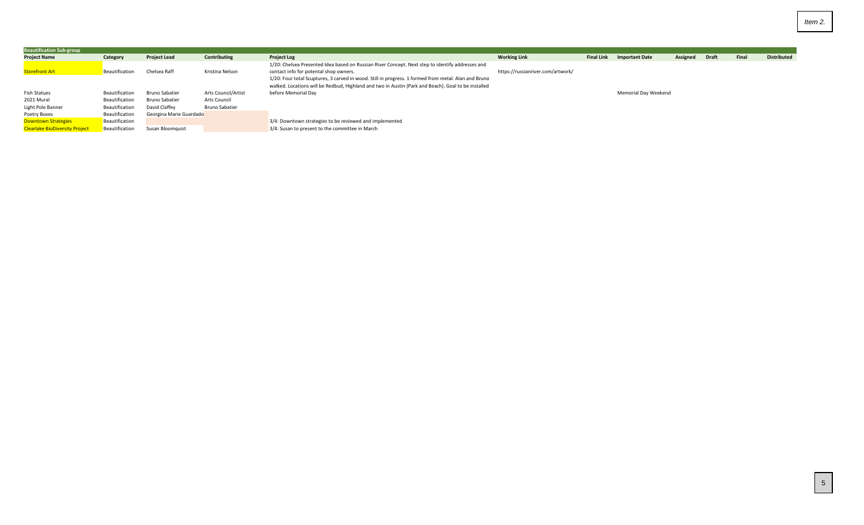| <b>Beautification Sub-group</b>       |                |                         |                       |                                                                                                                                                                                                             |                                   |                   |                       |          |              |       |                    |
|---------------------------------------|----------------|-------------------------|-----------------------|-------------------------------------------------------------------------------------------------------------------------------------------------------------------------------------------------------------|-----------------------------------|-------------------|-----------------------|----------|--------------|-------|--------------------|
| <b>Project Name</b>                   | Category       | <b>Project Lead</b>     | Contributing          | <b>Project Log</b>                                                                                                                                                                                          | <b>Working Link</b>               | <b>Final Link</b> | <b>Important Date</b> | Assigned | <b>Draft</b> | Final | <b>Distributed</b> |
| <b>Storefront Art</b>                 | Beautification | Chelsea Raff            | Kristina Nelson       | 1/20: Chelsea Presented Idea based on Russian River Concept. Next step to identify addresses and<br>contact info for potental shop owners.                                                                  | https://russianriver.com/artwork/ |                   |                       |          |              |       |                    |
|                                       |                |                         |                       | 1/20: Four total Scuptures, 3 carved in wood. Still in progress. 1 formed from metal. Alan and Bruno<br>walked. Locations will be Redbud, Highland and two in Austin (Park and Beach). Goal to be installed |                                   |                   |                       |          |              |       |                    |
| <b>Fish Statues</b>                   | Beautification | Bruno Sabatier          | Arts Council/Artist   | before Memorial Day                                                                                                                                                                                         |                                   |                   | Memorial Day Weekend  |          |              |       |                    |
| 2021 Mural                            | Beautification | Bruno Sabatier          | Arts Council          |                                                                                                                                                                                                             |                                   |                   |                       |          |              |       |                    |
| Light Pole Banner                     | Beautification | David Claffev           | <b>Bruno Sabatier</b> |                                                                                                                                                                                                             |                                   |                   |                       |          |              |       |                    |
| Poetry Boxes                          | Beautification | Georgina Marie Guardado |                       |                                                                                                                                                                                                             |                                   |                   |                       |          |              |       |                    |
| <b>Downtown Strategies</b>            | Beautification |                         |                       | 3/4: Downtown strategies to be reviewed and implemented                                                                                                                                                     |                                   |                   |                       |          |              |       |                    |
| <b>Clearlake BioDiversity Project</b> | Beautification | Susan Bloomquist        |                       | 3/4: Susan to present to the committee in March                                                                                                                                                             |                                   |                   |                       |          |              |       |                    |